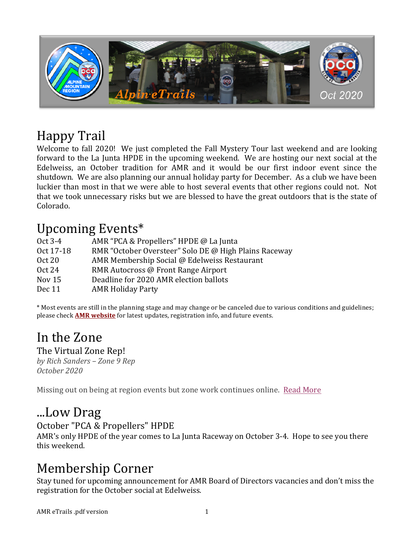

## Happy Trail

Welcome to fall 2020! We just completed the Fall Mystery Tour last weekend and are looking forward to the La Junta HPDE in the upcoming weekend. We are hosting our next social at the Edelweiss, an October tradition for AMR and it would be our first indoor event since the shutdown. We are also planning our annual holiday party for December. As a club we have been luckier than most in that we were able to host several events that other regions could not. Not that we took unnecessary risks but we are blessed to have the great outdoors that is the state of Colorado.

## Upcoming Events\*

| Oct 3-4       | AMR "PCA & Propellers" HPDE @ La Junta                |
|---------------|-------------------------------------------------------|
|               |                                                       |
| Oct 17-18     | RMR "October Oversteer" Solo DE @ High Plains Raceway |
| <b>Oct 20</b> | AMR Membership Social @ Edelweiss Restaurant          |
| Oct 24        | RMR Autocross @ Front Range Airport                   |
| Nov $15$      | Deadline for 2020 AMR election ballots                |
| Dec 11        | <b>AMR Holiday Party</b>                              |
|               |                                                       |

\* Most events are still in the planning stage and may change or be canceled due to various conditions and guidelines; please check **AMR** website for latest updates, registration info, and future events.

# In the Zone

The Virtual Zone Rep! *by Rich Sanders – Zone 9 Rep October 2020*

Missing out on being at region events but zone work continues online. Read More

### ...Low Drag

### October "PCA & Propellers" HPDE

AMR's only HPDE of the year comes to La Junta Raceway on October 3-4. Hope to see you there this weekend.

## Membership Corner

Stay tuned for upcoming announcement for AMR Board of Directors vacancies and don't miss the registration for the October social at Edelweiss.